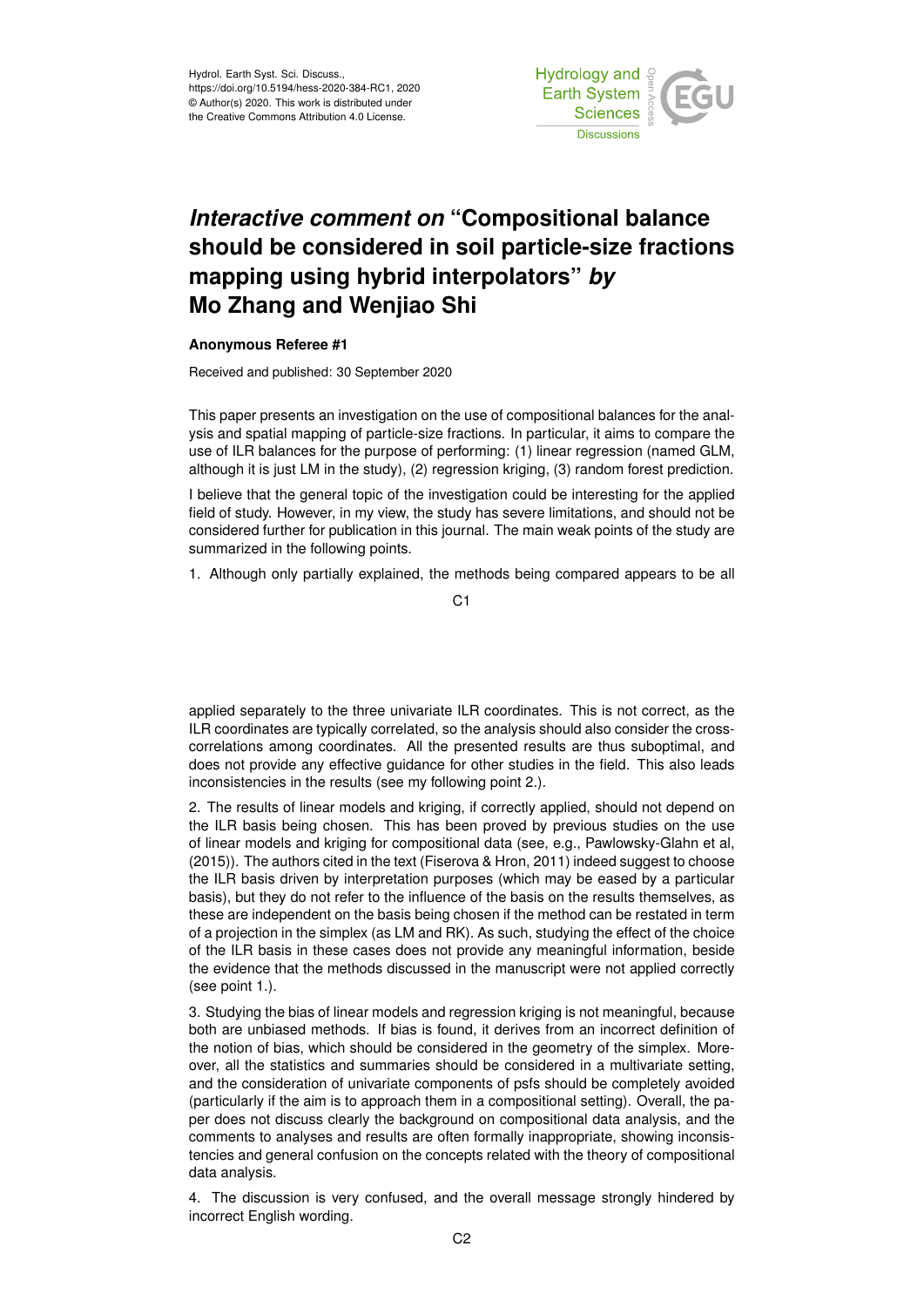

## *Interactive comment on* **"Compositional balance should be considered in soil particle-size fractions mapping using hybrid interpolators"** *by* **Mo Zhang and Wenjiao Shi**

## **Anonymous Referee #1**

Received and published: 30 September 2020

This paper presents an investigation on the use of compositional balances for the analysis and spatial mapping of particle-size fractions. In particular, it aims to compare the use of ILR balances for the purpose of performing: (1) linear regression (named GLM, although it is just LM in the study), (2) regression kriging, (3) random forest prediction.

I believe that the general topic of the investigation could be interesting for the applied field of study. However, in my view, the study has severe limitations, and should not be considered further for publication in this journal. The main weak points of the study are summarized in the following points.

1. Although only partially explained, the methods being compared appears to be all

applied separately to the three univariate ILR coordinates. This is not correct, as the ILR coordinates are typically correlated, so the analysis should also consider the crosscorrelations among coordinates. All the presented results are thus suboptimal, and does not provide any effective guidance for other studies in the field. This also leads inconsistencies in the results (see my following point 2.).

2. The results of linear models and kriging, if correctly applied, should not depend on the ILR basis being chosen. This has been proved by previous studies on the use of linear models and kriging for compositional data (see, e.g., Pawlowsky-Glahn et al, (2015)). The authors cited in the text (Fiserova & Hron, 2011) indeed suggest to choose the ILR basis driven by interpretation purposes (which may be eased by a particular basis), but they do not refer to the influence of the basis on the results themselves, as these are independent on the basis being chosen if the method can be restated in term of a projection in the simplex (as LM and RK). As such, studying the effect of the choice of the ILR basis in these cases does not provide any meaningful information, beside the evidence that the methods discussed in the manuscript were not applied correctly (see point 1.).

3. Studying the bias of linear models and regression kriging is not meaningful, because both are unbiased methods. If bias is found, it derives from an incorrect definition of the notion of bias, which should be considered in the geometry of the simplex. Moreover, all the statistics and summaries should be considered in a multivariate setting, and the consideration of univariate components of psfs should be completely avoided (particularly if the aim is to approach them in a compositional setting). Overall, the paper does not discuss clearly the background on compositional data analysis, and the comments to analyses and results are often formally inappropriate, showing inconsistencies and general confusion on the concepts related with the theory of compositional data analysis.

4. The discussion is very confused, and the overall message strongly hindered by incorrect English wording.

C1